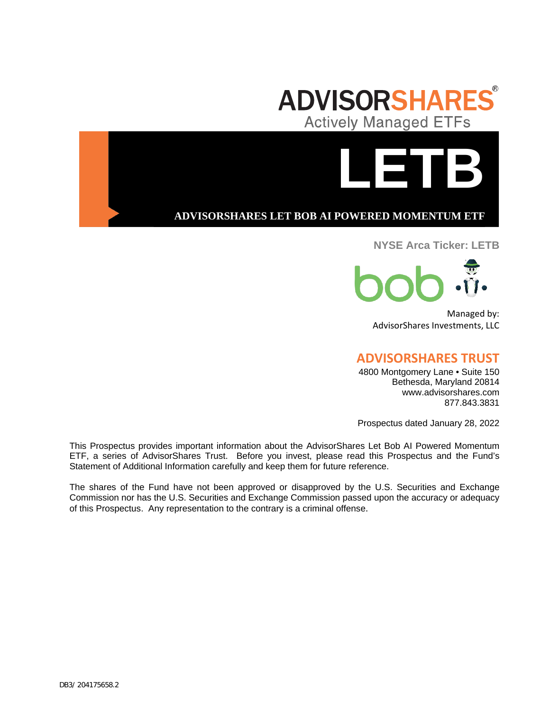



**ADVISORSHARES LET BOB AI POWERED MOMENTUM ETF**

## **NYSE Arca Ticker: LETB**



Managed by: AdvisorShares Investments, LLC

# **ADVISORSHARES TRUST**

4800 Montgomery Lane • Suite 150 Bethesda, Maryland 20814 www.advisorshares.com 877.843.3831

Prospectus dated January 28, 2022

This Prospectus provides important information about the AdvisorShares Let Bob AI Powered Momentum ETF, a series of AdvisorShares Trust. Before you invest, please read this Prospectus and the Fund's Statement of Additional Information carefully and keep them for future reference.

The shares of the Fund have not been approved or disapproved by the U.S. Securities and Exchange Commission nor has the U.S. Securities and Exchange Commission passed upon the accuracy or adequacy of this Prospectus. Any representation to the contrary is a criminal offense.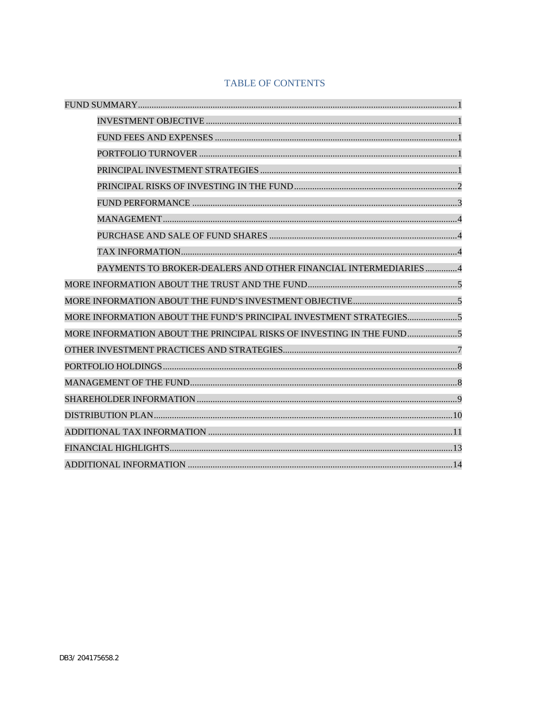## **TABLE OF CONTENTS**

| PAYMENTS TO BROKER-DEALERS AND OTHER FINANCIAL INTERMEDIARIES 4     |
|---------------------------------------------------------------------|
|                                                                     |
|                                                                     |
|                                                                     |
| MORE INFORMATION ABOUT THE PRINCIPAL RISKS OF INVESTING IN THE FUND |
|                                                                     |
|                                                                     |
|                                                                     |
|                                                                     |
|                                                                     |
|                                                                     |
|                                                                     |
|                                                                     |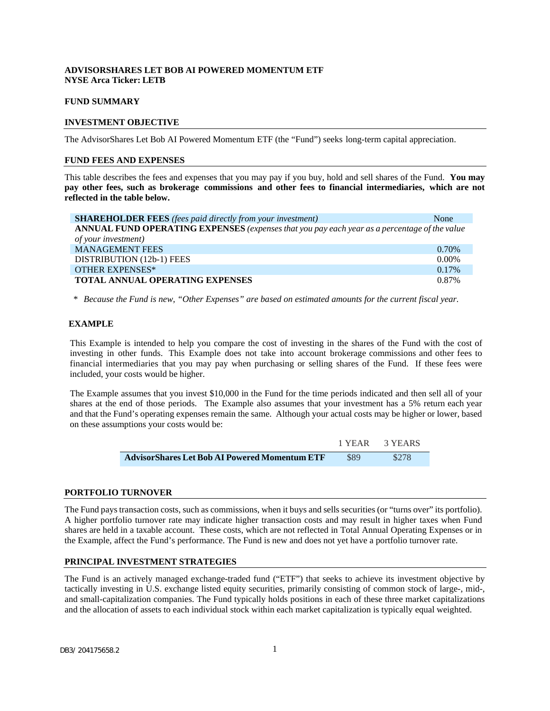## **ADVISORSHARES LET BOB AI POWERED MOMENTUM ETF NYSE Arca Ticker: LETB**

## **FUND SUMMARY**

## <span id="page-2-0"></span>**INVESTMENT OBJECTIVE**

The AdvisorShares Let Bob AI Powered Momentum ETF (the "Fund") seeks long-term capital appreciation.

#### <span id="page-2-1"></span>**FUND FEES AND EXPENSES**

This table describes the fees and expenses that you may pay if you buy, hold and sell shares of the Fund. **You may pay other fees, such as brokerage commissions and other fees to financial intermediaries, which are not reflected in the table below.**

| <b>SHAREHOLDER FEES</b> (fees paid directly from your investment)                            | None     |
|----------------------------------------------------------------------------------------------|----------|
| ANNUAL FUND OPERATING EXPENSES (expenses that you pay each year as a percentage of the value |          |
| of your investment)                                                                          |          |
| <b>MANAGEMENT FEES</b>                                                                       | 0.70%    |
| DISTRIBUTION (12b-1) FEES                                                                    | $0.00\%$ |
| <b>OTHER EXPENSES*</b>                                                                       | $0.17\%$ |
| <b>TOTAL ANNUAL OPERATING EXPENSES</b>                                                       | 0.87%    |

*\* Because the Fund is new, "Other Expenses" are based on estimated amounts for the current fiscal year.*

### **EXAMPLE**

This Example is intended to help you compare the cost of investing in the shares of the Fund with the cost of investing in other funds. This Example does not take into account brokerage commissions and other fees to financial intermediaries that you may pay when purchasing or selling shares of the Fund. If these fees were included, your costs would be higher.

The Example assumes that you invest \$10,000 in the Fund for the time periods indicated and then sell all of your shares at the end of those periods. The Example also assumes that your investment has a 5% return each year and that the Fund's operating expenses remain the same. Although your actual costs may be higher or lower, based on these assumptions your costs would be:

|                                                      | 1 YEAR | 3 YEARS |
|------------------------------------------------------|--------|---------|
| <b>AdvisorShares Let Bob AI Powered Momentum ETF</b> | \$89   | \$278   |

#### <span id="page-2-2"></span>**PORTFOLIO TURNOVER**

The Fund pays transaction costs, such as commissions, when it buys and sells securities (or "turns over" its portfolio). A higher portfolio turnover rate may indicate higher transaction costs and may result in higher taxes when Fund shares are held in a taxable account. These costs, which are not reflected in Total Annual Operating Expenses or in the Example, affect the Fund's performance. The Fund is new and does not yet have a portfolio turnover rate.

#### <span id="page-2-3"></span>**PRINCIPAL INVESTMENT STRATEGIES**

The Fund is an actively managed exchange-traded fund ("ETF") that seeks to achieve its investment objective by tactically investing in U.S. exchange listed equity securities, primarily consisting of common stock of large-, mid-, and small-capitalization companies. The Fund typically holds positions in each of these three market capitalizations and the allocation of assets to each individual stock within each market capitalization is typically equal weighted.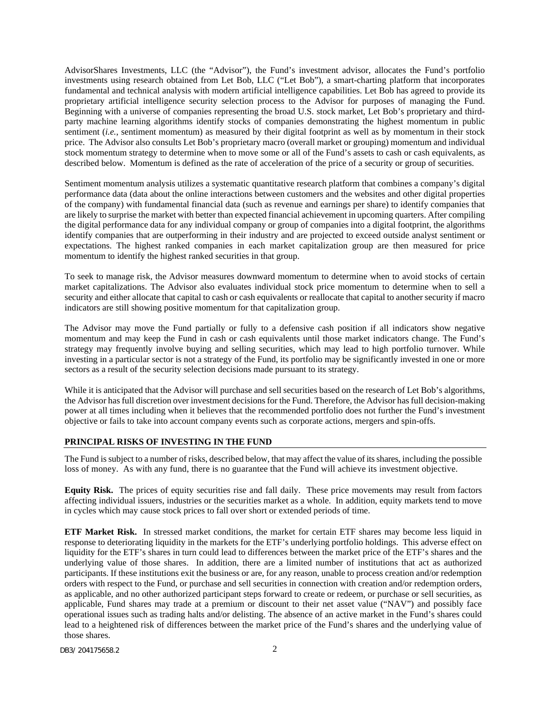AdvisorShares Investments, LLC (the "Advisor"), the Fund's investment advisor, allocates the Fund's portfolio investments using research obtained from Let Bob, LLC ("Let Bob"), a smart-charting platform that incorporates fundamental and technical analysis with modern artificial intelligence capabilities. Let Bob has agreed to provide its proprietary artificial intelligence security selection process to the Advisor for purposes of managing the Fund. Beginning with a universe of companies representing the broad U.S. stock market, Let Bob's proprietary and thirdparty machine learning algorithms identify stocks of companies demonstrating the highest momentum in public sentiment (*i.e.*, sentiment momentum) as measured by their digital footprint as well as by momentum in their stock price. The Advisor also consults Let Bob's proprietary macro (overall market or grouping) momentum and individual stock momentum strategy to determine when to move some or all of the Fund's assets to cash or cash equivalents, as described below. Momentum is defined as the rate of acceleration of the price of a security or group of securities.

Sentiment momentum analysis utilizes a systematic quantitative research platform that combines a company's digital performance data (data about the online interactions between customers and the websites and other digital properties of the company) with fundamental financial data (such as revenue and earnings per share) to identify companies that are likely to surprise the market with better than expected financial achievement in upcoming quarters. After compiling the digital performance data for any individual company or group of companies into a digital footprint, the algorithms identify companies that are outperforming in their industry and are projected to exceed outside analyst sentiment or expectations. The highest ranked companies in each market capitalization group are then measured for price momentum to identify the highest ranked securities in that group.

To seek to manage risk, the Advisor measures downward momentum to determine when to avoid stocks of certain market capitalizations. The Advisor also evaluates individual stock price momentum to determine when to sell a security and either allocate that capital to cash or cash equivalents or reallocate that capital to another security if macro indicators are still showing positive momentum for that capitalization group.

The Advisor may move the Fund partially or fully to a defensive cash position if all indicators show negative momentum and may keep the Fund in cash or cash equivalents until those market indicators change. The Fund's strategy may frequently involve buying and selling securities, which may lead to high portfolio turnover. While investing in a particular sector is not a strategy of the Fund, its portfolio may be significantly invested in one or more sectors as a result of the security selection decisions made pursuant to its strategy.

While it is anticipated that the Advisor will purchase and sell securities based on the research of Let Bob's algorithms, the Advisor has full discretion over investment decisions for the Fund. Therefore, the Advisor has full decision-making power at all times including when it believes that the recommended portfolio does not further the Fund's investment objective or fails to take into account company events such as corporate actions, mergers and spin-offs.

#### <span id="page-3-0"></span>**PRINCIPAL RISKS OF INVESTING IN THE FUND**

The Fund is subject to a number of risks, described below, that may affect the value of its shares, including the possible loss of money. As with any fund, there is no guarantee that the Fund will achieve its investment objective.

**Equity Risk.** The prices of equity securities rise and fall daily. These price movements may result from factors affecting individual issuers, industries or the securities market as a whole. In addition, equity markets tend to move in cycles which may cause stock prices to fall over short or extended periods of time.

**ETF Market Risk.** In stressed market conditions, the market for certain ETF shares may become less liquid in response to deteriorating liquidity in the markets for the ETF's underlying portfolio holdings. This adverse effect on liquidity for the ETF's shares in turn could lead to differences between the market price of the ETF's shares and the underlying value of those shares. In addition, there are a limited number of institutions that act as authorized participants. If these institutions exit the business or are, for any reason, unable to process creation and/or redemption orders with respect to the Fund, or purchase and sell securities in connection with creation and/or redemption orders, as applicable, and no other authorized participant steps forward to create or redeem, or purchase or sell securities, as applicable, Fund shares may trade at a premium or discount to their net asset value ("NAV") and possibly face operational issues such as trading halts and/or delisting. The absence of an active market in the Fund's shares could lead to a heightened risk of differences between the market price of the Fund's shares and the underlying value of those shares.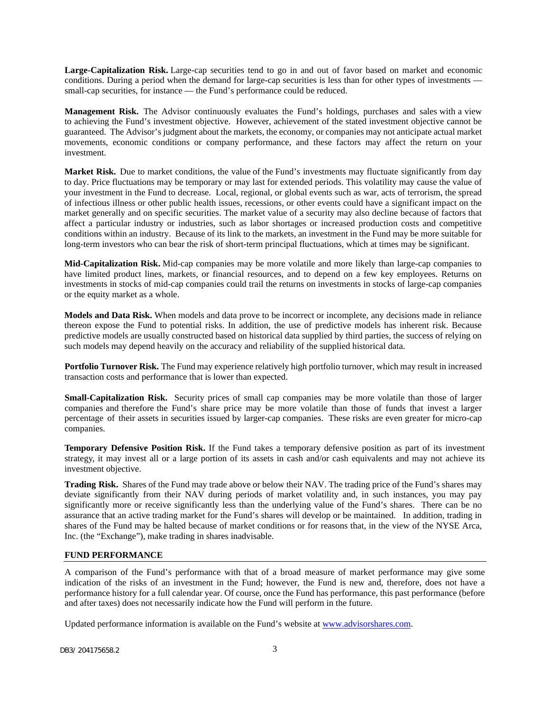**Large-Capitalization Risk.** Large-cap securities tend to go in and out of favor based on market and economic conditions. During a period when the demand for large-cap securities is less than for other types of investments small-cap securities, for instance — the Fund's performance could be reduced.

**Management Risk.** The Advisor continuously evaluates the Fund's holdings, purchases and sales with a view to achieving the Fund's investment objective. However, achievement of the stated investment objective cannot be guaranteed. The Advisor's judgment about the markets, the economy, or companies may not anticipate actual market movements, economic conditions or company performance, and these factors may affect the return on your investment.

**Market Risk.** Due to market conditions, the value of the Fund's investments may fluctuate significantly from day to day. Price fluctuations may be temporary or may last for extended periods. This volatility may cause the value of your investment in the Fund to decrease. Local, regional, or global events such as war, acts of terrorism, the spread of infectious illness or other public health issues, recessions, or other events could have a significant impact on the market generally and on specific securities. The market value of a security may also decline because of factors that affect a particular industry or industries, such as labor shortages or increased production costs and competitive conditions within an industry. Because of its link to the markets, an investment in the Fund may be more suitable for long-term investors who can bear the risk of short-term principal fluctuations, which at times may be significant.

**Mid-Capitalization Risk.** Mid-cap companies may be more volatile and more likely than large-cap companies to have limited product lines, markets, or financial resources, and to depend on a few key employees. Returns on investments in stocks of mid-cap companies could trail the returns on investments in stocks of large-cap companies or the equity market as a whole.

**Models and Data Risk.** When models and data prove to be incorrect or incomplete, any decisions made in reliance thereon expose the Fund to potential risks. In addition, the use of predictive models has inherent risk. Because predictive models are usually constructed based on historical data supplied by third parties, the success of relying on such models may depend heavily on the accuracy and reliability of the supplied historical data.

**Portfolio Turnover Risk.** The Fund may experience relatively high portfolio turnover, which may result in increased transaction costs and performance that is lower than expected.

**Small-Capitalization Risk.** Security prices of small cap companies may be more volatile than those of larger companies and therefore the Fund's share price may be more volatile than those of funds that invest a larger percentage of their assets in securities issued by larger-cap companies. These risks are even greater for micro-cap companies.

**Temporary Defensive Position Risk.** If the Fund takes a temporary defensive position as part of its investment strategy, it may invest all or a large portion of its assets in cash and/or cash equivalents and may not achieve its investment objective.

**Trading Risk.** Shares of the Fund may trade above or below their NAV. The trading price of the Fund's shares may deviate significantly from their NAV during periods of market volatility and, in such instances, you may pay significantly more or receive significantly less than the underlying value of the Fund's shares. There can be no assurance that an active trading market for the Fund's shares will develop or be maintained. In addition, trading in shares of the Fund may be halted because of market conditions or for reasons that, in the view of the NYSE Arca, Inc. (the "Exchange"), make trading in shares inadvisable.

#### <span id="page-4-0"></span>**FUND PERFORMANCE**

A comparison of the Fund's performance with that of a broad measure of market performance may give some indication of the risks of an investment in the Fund; however, the Fund is new and, therefore, does not have a performance history for a full calendar year. Of course, once the Fund has performance, this past performance (before and after taxes) does not necessarily indicate how the Fund will perform in the future.

Updated performance information is available on the Fund's website at [www.advisorshares.com.](http://www.advisorshares.com/)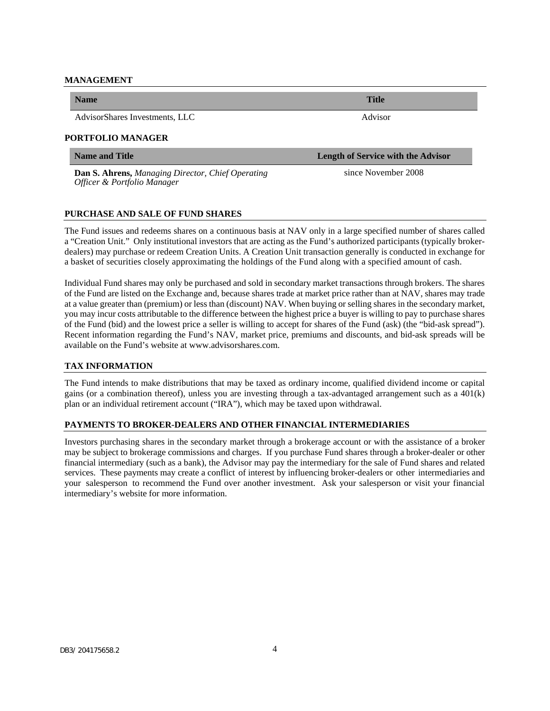#### <span id="page-5-0"></span>**MANAGEMENT**

AdvisorShares Investments, LLC Advisor

#### **PORTFOLIO MANAGER**

**Dan S. Ahrens,** *Managing Director, Chief Operating Officer & Portfolio Manager*

#### <span id="page-5-1"></span>**PURCHASE AND SALE OF FUND SHARES**

<span id="page-5-2"></span>The Fund issues and redeems shares on a continuous basis at NAV only in a large specified number of shares called a "Creation Unit." Only institutional investors that are acting as the Fund's authorized participants (typically brokerdealers) may purchase or redeem Creation Units. A Creation Unit transaction generally is conducted in exchange for a basket of securities closely approximating the holdings of the Fund along with a specified amount of cash.

Individual Fund shares may only be purchased and sold in secondary market transactions through brokers. The shares of the Fund are listed on the Exchange and, because shares trade at market price rather than at NAV, shares may trade at a value greater than (premium) or less than (discount) NAV. When buying or selling shares in the secondary market, you may incur costs attributable to the difference between the highest price a buyer is willing to pay to purchase shares of the Fund (bid) and the lowest price a seller is willing to accept for shares of the Fund (ask) (the "bid-ask spread"). Recent information regarding the Fund's NAV, market price, premiums and discounts, and bid-ask spreads will be available on the Fund's website at www.advisorshares.com.

## **TAX INFORMATION**

The Fund intends to make distributions that may be taxed as ordinary income, qualified dividend income or capital gains (or a combination thereof), unless you are investing through a tax-advantaged arrangement such as a  $401(k)$ plan or an individual retirement account ("IRA"), which may be taxed upon withdrawal.

#### **PAYMENTS TO BROKER-DEALERS AND OTHER FINANCIAL INTERMEDIARIES**

Investors purchasing shares in the secondary market through a brokerage account or with the assistance of a broker may be subject to brokerage commissions and charges. If you purchase Fund shares through a broker-dealer or other financial intermediary (such as a bank), the Advisor may pay the intermediary for the sale of Fund shares and related services. These payments may create a conflict of interest by influencing broker-dealers or other intermediaries and your salesperson to recommend the Fund over another investment. Ask your salesperson or visit your financial intermediary's website for more information.

**Name and Title Length of Service with the Advisor**

<span id="page-5-3"></span>since November 2008

**Name Title**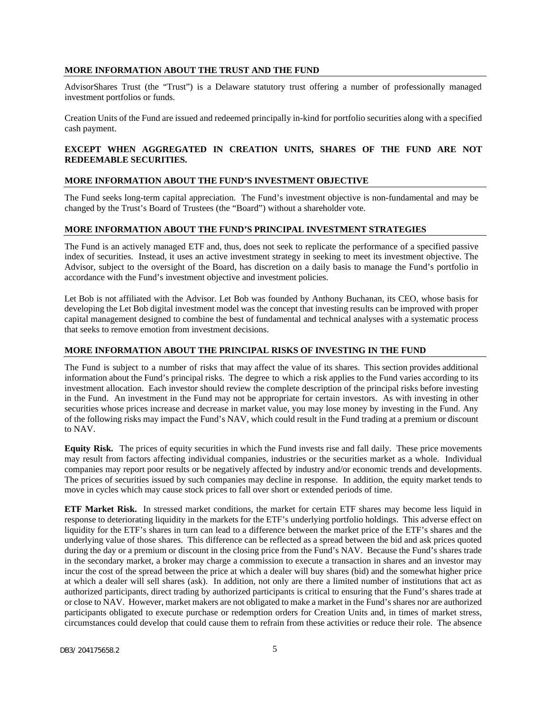### <span id="page-6-0"></span>**MORE INFORMATION ABOUT THE TRUST AND THE FUND**

AdvisorShares Trust (the "Trust") is a Delaware statutory trust offering a number of professionally managed investment portfolios or funds.

Creation Units of the Fund are issued and redeemed principally in-kind for portfolio securities along with a specified cash payment.

## **EXCEPT WHEN AGGREGATED IN CREATION UNITS, SHARES OF THE FUND ARE NOT REDEEMABLE SECURITIES.**

## <span id="page-6-1"></span>**MORE INFORMATION ABOUT THE FUND'S INVESTMENT OBJECTIVE**

The Fund seeks long-term capital appreciation. The Fund's investment objective is non-fundamental and may be changed by the Trust's Board of Trustees (the "Board") without a shareholder vote.

#### <span id="page-6-2"></span>**MORE INFORMATION ABOUT THE FUND'S PRINCIPAL INVESTMENT STRATEGIES**

The Fund is an actively managed ETF and, thus, does not seek to replicate the performance of a specified passive index of securities. Instead, it uses an active investment strategy in seeking to meet its investment objective. The Advisor, subject to the oversight of the Board, has discretion on a daily basis to manage the Fund's portfolio in accordance with the Fund's investment objective and investment policies.

Let Bob is not affiliated with the Advisor. Let Bob was founded by Anthony Buchanan, its CEO, whose basis for developing the Let Bob digital investment model was the concept that investing results can be improved with proper capital management designed to combine the best of fundamental and technical analyses with a systematic process that seeks to remove emotion from investment decisions.

## <span id="page-6-3"></span>**MORE INFORMATION ABOUT THE PRINCIPAL RISKS OF INVESTING IN THE FUND**

The Fund is subject to a number of risks that may affect the value of its shares. This section provides additional information about the Fund's principal risks. The degree to which a risk applies to the Fund varies according to its investment allocation. Each investor should review the complete description of the principal risks before investing in the Fund. An investment in the Fund may not be appropriate for certain investors. As with investing in other securities whose prices increase and decrease in market value, you may lose money by investing in the Fund. Any of the following risks may impact the Fund's NAV, which could result in the Fund trading at a premium or discount to NAV.

**Equity Risk.** The prices of equity securities in which the Fund invests rise and fall daily. These price movements may result from factors affecting individual companies, industries or the securities market as a whole. Individual companies may report poor results or be negatively affected by industry and/or economic trends and developments. The prices of securities issued by such companies may decline in response. In addition, the equity market tends to move in cycles which may cause stock prices to fall over short or extended periods of time.

**ETF Market Risk.** In stressed market conditions, the market for certain ETF shares may become less liquid in response to deteriorating liquidity in the markets for the ETF's underlying portfolio holdings. This adverse effect on liquidity for the ETF's shares in turn can lead to a difference between the market price of the ETF's shares and the underlying value of those shares. This difference can be reflected as a spread between the bid and ask prices quoted during the day or a premium or discount in the closing price from the Fund's NAV. Because the Fund's shares trade in the secondary market, a broker may charge a commission to execute a transaction in shares and an investor may incur the cost of the spread between the price at which a dealer will buy shares (bid) and the somewhat higher price at which a dealer will sell shares (ask). In addition, not only are there a limited number of institutions that act as authorized participants, direct trading by authorized participants is critical to ensuring that the Fund's shares trade at or close to NAV. However, market makers are not obligated to make a market in the Fund's shares nor are authorized participants obligated to execute purchase or redemption orders for Creation Units and, in times of market stress, circumstances could develop that could cause them to refrain from these activities or reduce their role. The absence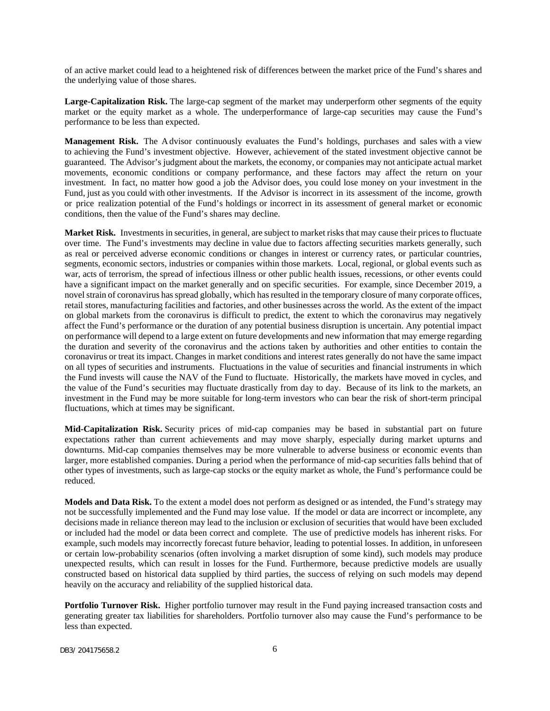of an active market could lead to a heightened risk of differences between the market price of the Fund's shares and the underlying value of those shares.

**Large-Capitalization Risk.** The large-cap segment of the market may underperform other segments of the equity market or the equity market as a whole. The underperformance of large-cap securities may cause the Fund's performance to be less than expected.

**Management Risk.** The A dvisor continuously evaluates the Fund's holdings, purchases and sales with a view to achieving the Fund's investment objective. However, achievement of the stated investment objective cannot be guaranteed. The Advisor's judgment about the markets, the economy, or companies may not anticipate actual market movements, economic conditions or company performance, and these factors may affect the return on your investment. In fact, no matter how good a job the Advisor does, you could lose money on your investment in the Fund, just as you could with other investments. If the Advisor is incorrect in its assessment of the income, growth or price realization potential of the Fund's holdings or incorrect in its assessment of general market or economic conditions, then the value of the Fund's shares may decline.

**Market Risk.** Investments in securities, in general, are subject to market risks that may cause their prices to fluctuate over time. The Fund's investments may decline in value due to factors affecting securities markets generally, such as real or perceived adverse economic conditions or changes in interest or currency rates, or particular countries, segments, economic sectors, industries or companies within those markets. Local, regional, or global events such as war, acts of terrorism, the spread of infectious illness or other public health issues, recessions, or other events could have a significant impact on the market generally and on specific securities. For example, since December 2019, a novel strain of coronavirus has spread globally, which has resulted in the temporary closure of many corporate offices, retail stores, manufacturing facilities and factories, and other businesses across the world. As the extent of the impact on global markets from the coronavirus is difficult to predict, the extent to which the coronavirus may negatively affect the Fund's performance or the duration of any potential business disruption is uncertain. Any potential impact on performance will depend to a large extent on future developments and new information that may emerge regarding the duration and severity of the coronavirus and the actions taken by authorities and other entities to contain the coronavirus or treat its impact. Changes in market conditions and interest rates generally do not have the same impact on all types of securities and instruments. Fluctuations in the value of securities and financial instruments in which the Fund invests will cause the NAV of the Fund to fluctuate. Historically, the markets have moved in cycles, and the value of the Fund's securities may fluctuate drastically from day to day. Because of its link to the markets, an investment in the Fund may be more suitable for long-term investors who can bear the risk of short-term principal fluctuations, which at times may be significant.

**Mid-Capitalization Risk.** Security prices of mid-cap companies may be based in substantial part on future expectations rather than current achievements and may move sharply, especially during market upturns and downturns. Mid-cap companies themselves may be more vulnerable to adverse business or economic events than larger, more established companies. During a period when the performance of mid-cap securities falls behind that of other types of investments, such as large-cap stocks or the equity market as whole, the Fund's performance could be reduced.

**Models and Data Risk.** To the extent a model does not perform as designed or as intended, the Fund's strategy may not be successfully implemented and the Fund may lose value. If the model or data are incorrect or incomplete, any decisions made in reliance thereon may lead to the inclusion or exclusion of securities that would have been excluded or included had the model or data been correct and complete. The use of predictive models has inherent risks. For example, such models may incorrectly forecast future behavior, leading to potential losses. In addition, in unforeseen or certain low-probability scenarios (often involving a market disruption of some kind), such models may produce unexpected results, which can result in losses for the Fund. Furthermore, because predictive models are usually constructed based on historical data supplied by third parties, the success of relying on such models may depend heavily on the accuracy and reliability of the supplied historical data.

**Portfolio Turnover Risk.** Higher portfolio turnover may result in the Fund paying increased transaction costs and generating greater tax liabilities for shareholders. Portfolio turnover also may cause the Fund's performance to be less than expected.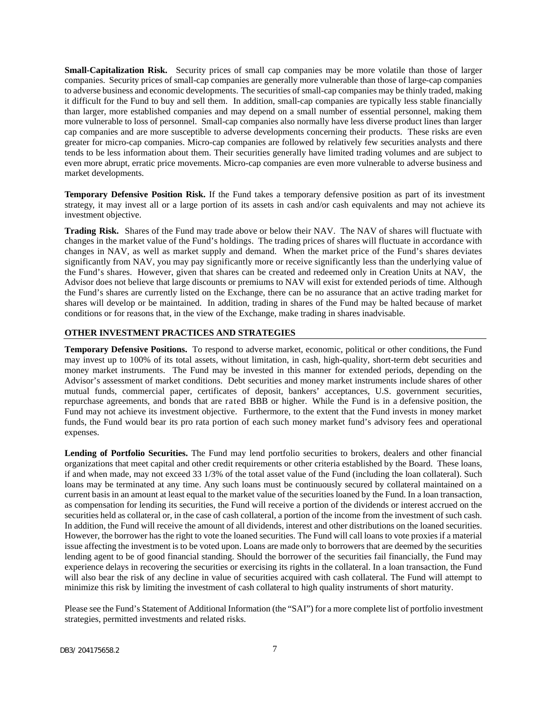**Small-Capitalization Risk.** Security prices of small cap companies may be more volatile than those of larger companies. Security prices of small-cap companies are generally more vulnerable than those of large-cap companies to adverse business and economic developments. The securities of small-cap companies may be thinly traded, making it difficult for the Fund to buy and sell them. In addition, small-cap companies are typically less stable financially than larger, more established companies and may depend on a small number of essential personnel, making them more vulnerable to loss of personnel. Small-cap companies also normally have less diverse product lines than larger cap companies and are more susceptible to adverse developments concerning their products. These risks are even greater for micro-cap companies. Micro-cap companies are followed by relatively few securities analysts and there tends to be less information about them. Their securities generally have limited trading volumes and are subject to even more abrupt, erratic price movements. Micro-cap companies are even more vulnerable to adverse business and market developments.

**Temporary Defensive Position Risk.** If the Fund takes a temporary defensive position as part of its investment strategy, it may invest all or a large portion of its assets in cash and/or cash equivalents and may not achieve its investment objective.

**Trading Risk.** Shares of the Fund may trade above or below their NAV. The NAV of shares will fluctuate with changes in the market value of the Fund's holdings. The trading prices of shares will fluctuate in accordance with changes in NAV, as well as market supply and demand. When the market price of the Fund's shares deviates significantly from NAV, you may pay significantly more or receive significantly less than the underlying value of the Fund's shares. However, given that shares can be created and redeemed only in Creation Units at NAV, the Advisor does not believe that large discounts or premiums to NAV will exist for extended periods of time. Although the Fund's shares are currently listed on the Exchange, there can be no assurance that an active trading market for shares will develop or be maintained. In addition, trading in shares of the Fund may be halted because of market conditions or for reasons that, in the view of the Exchange, make trading in shares inadvisable.

#### <span id="page-8-0"></span>**OTHER INVESTMENT PRACTICES AND STRATEGIES**

**Temporary Defensive Positions.** To respond to adverse market, economic, political or other conditions, the Fund may invest up to 100% of its total assets, without limitation, in cash, high-quality, short-term debt securities and money market instruments. The Fund may be invested in this manner for extended periods, depending on the Advisor's assessment of market conditions. Debt securities and money market instruments include shares of other mutual funds, commercial paper, certificates of deposit, bankers' acceptances, U.S. government securities, repurchase agreements, and bonds that are rated BBB or higher. While the Fund is in a defensive position, the Fund may not achieve its investment objective. Furthermore, to the extent that the Fund invests in money market funds, the Fund would bear its pro rata portion of each such money market fund's advisory fees and operational expenses.

**Lending of Portfolio Securities.** The Fund may lend portfolio securities to brokers, dealers and other financial organizations that meet capital and other credit requirements or other criteria established by the Board. These loans, if and when made, may not exceed 33 1/3% of the total asset value of the Fund (including the loan collateral). Such loans may be terminated at any time. Any such loans must be continuously secured by collateral maintained on a current basis in an amount at least equal to the market value of the securities loaned by the Fund. In a loan transaction, as compensation for lending its securities, the Fund will receive a portion of the dividends or interest accrued on the securities held as collateral or, in the case of cash collateral, a portion of the income from the investment of such cash. In addition, the Fund will receive the amount of all dividends, interest and other distributions on the loaned securities. However, the borrower has the right to vote the loaned securities. The Fund will call loans to vote proxies if a material issue affecting the investment is to be voted upon. Loans are made only to borrowers that are deemed by the securities lending agent to be of good financial standing. Should the borrower of the securities fail financially, the Fund may experience delays in recovering the securities or exercising its rights in the collateral. In a loan transaction, the Fund will also bear the risk of any decline in value of securities acquired with cash collateral. The Fund will attempt to minimize this risk by limiting the investment of cash collateral to high quality instruments of short maturity.

Please see the Fund's Statement of Additional Information (the "SAI") for a more complete list of portfolio investment strategies, permitted investments and related risks.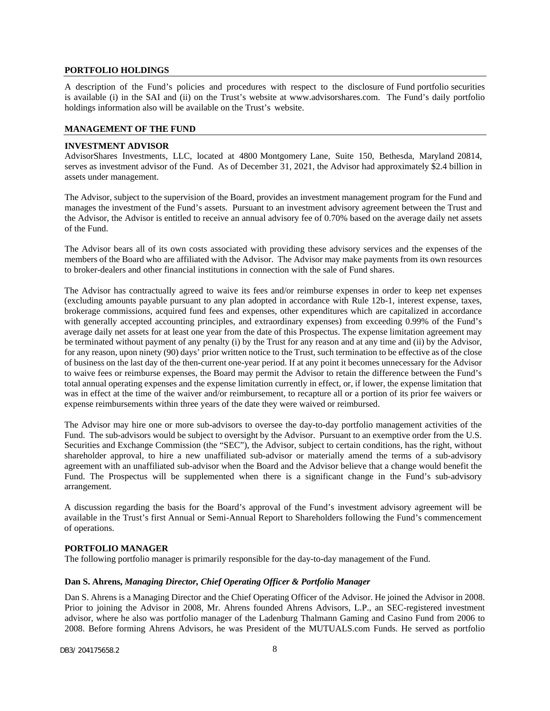### <span id="page-9-0"></span>**PORTFOLIO HOLDINGS**

A description of the Fund's policies and procedures with respect to the disclosure of Fund portfolio securities is available (i) in the SAI and (ii) on the Trust's website at www.advisorshares.com. The Fund's daily portfolio holdings information also will be available on the Trust's website.

### <span id="page-9-1"></span>**MANAGEMENT OF THE FUND**

#### **INVESTMENT ADVISOR**

AdvisorShares Investments, LLC, located at 4800 Montgomery Lane, Suite 150, Bethesda, Maryland 20814, serves as investment advisor of the Fund. As of December 31, 2021, the Advisor had approximately \$2.4 billion in assets under management.

The Advisor, subject to the supervision of the Board, provides an investment management program for the Fund and manages the investment of the Fund's assets. Pursuant to an investment advisory agreement between the Trust and the Advisor, the Advisor is entitled to receive an annual advisory fee of 0.70% based on the average daily net assets of the Fund.

The Advisor bears all of its own costs associated with providing these advisory services and the expenses of the members of the Board who are affiliated with the Advisor. The Advisor may make payments from its own resources to broker-dealers and other financial institutions in connection with the sale of Fund shares.

The Advisor has contractually agreed to waive its fees and/or reimburse expenses in order to keep net expenses (excluding amounts payable pursuant to any plan adopted in accordance with Rule 12b-1, interest expense, taxes, brokerage commissions, acquired fund fees and expenses, other expenditures which are capitalized in accordance with generally accepted accounting principles, and extraordinary expenses) from exceeding 0.99% of the Fund's average daily net assets for at least one year from the date of this Prospectus. The expense limitation agreement may be terminated without payment of any penalty (i) by the Trust for any reason and at any time and (ii) by the Advisor, for any reason, upon ninety (90) days' prior written notice to the Trust, such termination to be effective as of the close of business on the last day of the then-current one-year period. If at any point it becomes unnecessary for the Advisor to waive fees or reimburse expenses, the Board may permit the Advisor to retain the difference between the Fund's total annual operating expenses and the expense limitation currently in effect, or, if lower, the expense limitation that was in effect at the time of the waiver and/or reimbursement, to recapture all or a portion of its prior fee waivers or expense reimbursements within three years of the date they were waived or reimbursed.

The Advisor may hire one or more sub-advisors to oversee the day-to-day portfolio management activities of the Fund. The sub-advisors would be subject to oversight by the Advisor. Pursuant to an exemptive order from the U.S. Securities and Exchange Commission (the "SEC"), the Advisor, subject to certain conditions, has the right, without shareholder approval, to hire a new unaffiliated sub-advisor or materially amend the terms of a sub-advisory agreement with an unaffiliated sub-advisor when the Board and the Advisor believe that a change would benefit the Fund. The Prospectus will be supplemented when there is a significant change in the Fund's sub-advisory arrangement.

A discussion regarding the basis for the Board's approval of the Fund's investment advisory agreement will be available in the Trust's first Annual or Semi-Annual Report to Shareholders following the Fund's commencement of operations.

#### **PORTFOLIO MANAGER**

The following portfolio manager is primarily responsible for the day-to-day management of the Fund.

#### **Dan S. Ahrens,** *Managing Director, Chief Operating Officer & Portfolio Manager*

Dan S. Ahrens is a Managing Director and the Chief Operating Officer of the Advisor. He joined the Advisor in 2008. Prior to joining the Advisor in 2008, Mr. Ahrens founded Ahrens Advisors, L.P., an SEC-registered investment advisor, where he also was portfolio manager of the Ladenburg Thalmann Gaming and Casino Fund from 2006 to 2008. Before forming Ahrens Advisors, he was President of the MUTUALS.com Funds. He served as portfolio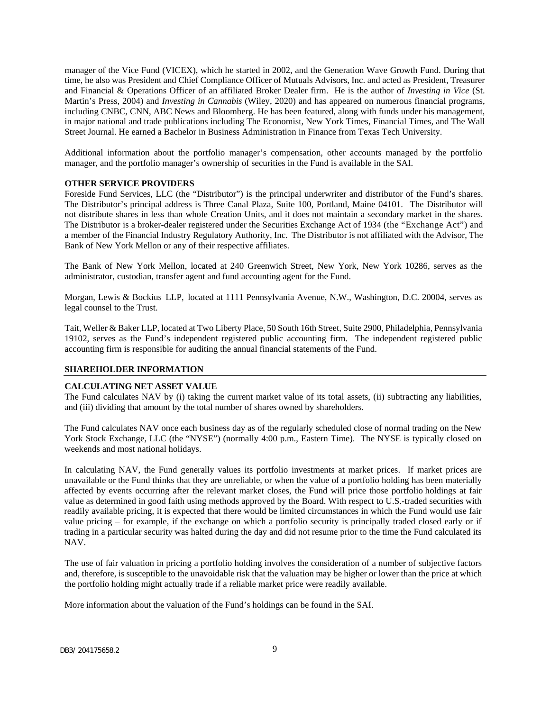manager of the Vice Fund (VICEX), which he started in 2002, and the Generation Wave Growth Fund. During that time, he also was President and Chief Compliance Officer of Mutuals Advisors, Inc. and acted as President, Treasurer and Financial & Operations Officer of an affiliated Broker Dealer firm. He is the author of *Investing in Vice* (St. Martin's Press, 2004) and *Investing in Cannabis* (Wiley, 2020) and has appeared on numerous financial programs, including CNBC, CNN, ABC News and Bloomberg. He has been featured, along with funds under his management, in major national and trade publications including The Economist, New York Times, Financial Times, and The Wall Street Journal. He earned a Bachelor in Business Administration in Finance from Texas Tech University.

Additional information about the portfolio manager's compensation, other accounts managed by the portfolio manager, and the portfolio manager's ownership of securities in the Fund is available in the SAI.

#### **OTHER SERVICE PROVIDERS**

Foreside Fund Services, LLC (the "Distributor") is the principal underwriter and distributor of the Fund's shares. The Distributor's principal address is Three Canal Plaza, Suite 100, Portland, Maine 04101. The Distributor will not distribute shares in less than whole Creation Units, and it does not maintain a secondary market in the shares. The Distributor is a broker-dealer registered under the Securities Exchange Act of 1934 (the "Exchange Act") and a member of the Financial Industry Regulatory Authority, Inc. The Distributor is not affiliated with the Advisor, The Bank of New York Mellon or any of their respective affiliates.

The Bank of New York Mellon, located at 240 Greenwich Street, New York, New York 10286, serves as the administrator, custodian, transfer agent and fund accounting agent for the Fund.

Morgan, Lewis & Bockius LLP, located at 1111 Pennsylvania Avenue, N.W., Washington, D.C. 20004, serves as legal counsel to the Trust.

Tait, Weller & Baker LLP, located at Two Liberty Place, 50 South 16th Street, Suite 2900, Philadelphia, Pennsylvania 19102, serves as the Fund's independent registered public accounting firm. The independent registered public accounting firm is responsible for auditing the annual financial statements of the Fund.

#### <span id="page-10-0"></span>**SHAREHOLDER INFORMATION**

#### **CALCULATING NET ASSET VALUE**

The Fund calculates NAV by (i) taking the current market value of its total assets, (ii) subtracting any liabilities, and (iii) dividing that amount by the total number of shares owned by shareholders.

The Fund calculates NAV once each business day as of the regularly scheduled close of normal trading on the New York Stock Exchange, LLC (the "NYSE") (normally 4:00 p.m., Eastern Time). The NYSE is typically closed on weekends and most national holidays.

In calculating NAV, the Fund generally values its portfolio investments at market prices. If market prices are unavailable or the Fund thinks that they are unreliable, or when the value of a portfolio holding has been materially affected by events occurring after the relevant market closes, the Fund will price those portfolio holdings at fair value as determined in good faith using methods approved by the Board. With respect to U.S.-traded securities with readily available pricing, it is expected that there would be limited circumstances in which the Fund would use fair value pricing – for example, if the exchange on which a portfolio security is principally traded closed early or if trading in a particular security was halted during the day and did not resume prior to the time the Fund calculated its NAV.

The use of fair valuation in pricing a portfolio holding involves the consideration of a number of subjective factors and, therefore, is susceptible to the unavoidable risk that the valuation may be higher or lower than the price at which the portfolio holding might actually trade if a reliable market price were readily available.

More information about the valuation of the Fund's holdings can be found in the SAI.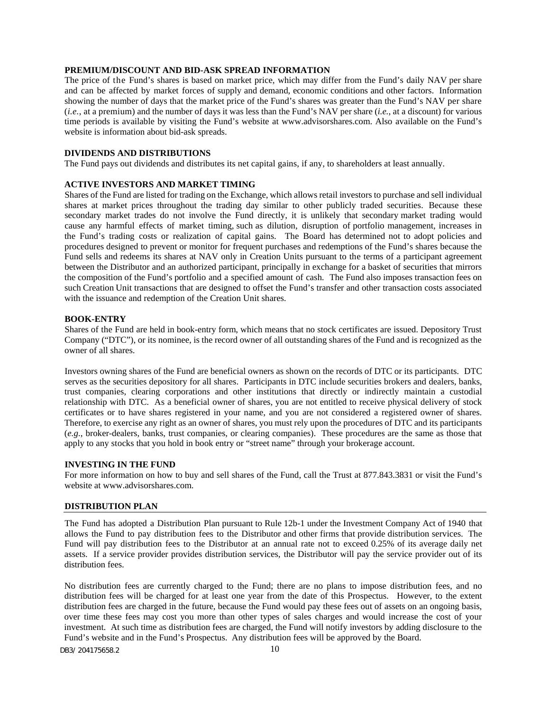### **PREMIUM/DISCOUNT AND BID-ASK SPREAD INFORMATION**

The price of the Fund's shares is based on market price, which may differ from the Fund's daily NAV per share and can be affected by market forces of supply and demand, economic conditions and other factors. Information showing the number of days that the market price of the Fund's shares was greater than the Fund's NAV per share (*i.e.*, at a premium) and the number of days it was less than the Fund's NAV per share (*i.e.*, at a discount) for various time periods is available by visiting the Fund's we[bsite at www.advisorshares.com.](http://www.advisorshares.com/) Also available on the Fund's website is information about bid-ask spreads.

## **DIVIDENDS AND DISTRIBUTIONS**

The Fund pays out dividends and distributes its net capital gains, if any, to shareholders at least annually.

#### **ACTIVE INVESTORS AND MARKET TIMING**

Shares of the Fund are listed for trading on the Exchange, which allows retail investors to purchase and sell individual shares at market prices throughout the trading day similar to other publicly traded securities. Because these secondary market trades do not involve the Fund directly, it is unlikely that secondary market trading would cause any harmful effects of market timing, such as dilution, disruption of portfolio management, increases in the Fund's trading costs or realization of capital gains. The Board has determined not to adopt policies and procedures designed to prevent or monitor for frequent purchases and redemptions of the Fund's shares because the Fund sells and redeems its shares at NAV only in Creation Units pursuant to the terms of a participant agreement between the Distributor and an authorized participant, principally in exchange for a basket of securities that mirrors the composition of the Fund's portfolio and a specified amount of cash. The Fund also imposes transaction fees on such Creation Unit transactions that are designed to offset the Fund's transfer and other transaction costs associated with the issuance and redemption of the Creation Unit shares.

#### **BOOK-ENTRY**

Shares of the Fund are held in book-entry form, which means that no stock certificates are issued. Depository Trust Company ("DTC"), or its nominee, is the record owner of all outstanding shares of the Fund and is recognized as the owner of all shares.

Investors owning shares of the Fund are beneficial owners as shown on the records of DTC or its participants. DTC serves as the securities depository for all shares. Participants in DTC include securities brokers and dealers, banks, trust companies, clearing corporations and other institutions that directly or indirectly maintain a custodial relationship with DTC. As a beneficial owner of shares, you are not entitled to receive physical delivery of stock certificates or to have shares registered in your name, and you are not considered a registered owner of shares. Therefore, to exercise any right as an owner of shares, you must rely upon the procedures of DTC and its participants (*e.g.*, broker-dealers, banks, trust companies, or clearing companies). These procedures are the same as those that apply to any stocks that you hold in book entry or "street name" through your brokerage account.

#### **INVESTING IN THE FUND**

For more information on how to buy and sell shares of the Fund, call the Trust at 877.843.3831 or visit the Fund's website [at www.advisorshares.com.](http://www.advisorshares.com/)

#### <span id="page-11-0"></span>**DISTRIBUTION PLAN**

The Fund has adopted a Distribution Plan pursuant to Rule 12b-1 under the Investment Company Act of 1940 that allows the Fund to pay distribution fees to the Distributor and other firms that provide distribution services. The Fund will pay distribution fees to the Distributor at an annual rate not to exceed 0.25% of its average daily net assets. If a service provider provides distribution services, the Distributor will pay the service provider out of its distribution fees.

No distribution fees are currently charged to the Fund; there are no plans to impose distribution fees, and no distribution fees will be charged for at least one year from the date of this Prospectus. However, to the extent distribution fees are charged in the future, because the Fund would pay these fees out of assets on an ongoing basis, over time these fees may cost you more than other types of sales charges and would increase the cost of your investment. At such time as distribution fees are charged, the Fund will notify investors by adding disclosure to the Fund's website and in the Fund's Prospectus. Any distribution fees will be approved by the Board.

DB3/ 204175658.2 10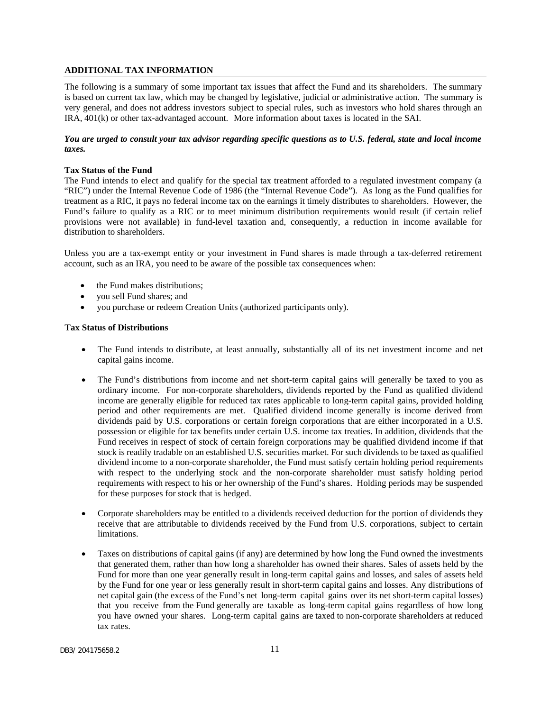## <span id="page-12-0"></span>**ADDITIONAL TAX INFORMATION**

The following is a summary of some important tax issues that affect the Fund and its shareholders. The summary is based on current tax law, which may be changed by legislative, judicial or administrative action. The summary is very general, and does not address investors subject to special rules, such as investors who hold shares through an IRA, 401(k) or other tax-advantaged account. More information about taxes is located in the SAI.

## You are urged to consult your tax advisor regarding specific questions as to U.S. federal, state and local income *taxes.*

#### **Tax Status of the Fund**

The Fund intends to elect and qualify for the special tax treatment afforded to a regulated investment company (a "RIC") under the Internal Revenue Code of 1986 (the "Internal Revenue Code"). As long as the Fund qualifies for treatment as a RIC, it pays no federal income tax on the earnings it timely distributes to shareholders. However, the Fund's failure to qualify as a RIC or to meet minimum distribution requirements would result (if certain relief provisions were not available) in fund-level taxation and, consequently, a reduction in income available for distribution to shareholders.

Unless you are a tax-exempt entity or your investment in Fund shares is made through a tax-deferred retirement account, such as an IRA, you need to be aware of the possible tax consequences when:

- the Fund makes distributions:
- you sell Fund shares; and
- you purchase or redeem Creation Units (authorized participants only).

#### **Tax Status of Distributions**

- The Fund intends to distribute, at least annually, substantially all of its net investment income and net capital gains income.
- The Fund's distributions from income and net short-term capital gains will generally be taxed to you as ordinary income. For non-corporate shareholders, dividends reported by the Fund as qualified dividend income are generally eligible for reduced tax rates applicable to long-term capital gains, provided holding period and other requirements are met. Qualified dividend income generally is income derived from dividends paid by U.S. corporations or certain foreign corporations that are either incorporated in a U.S. possession or eligible for tax benefits under certain U.S. income tax treaties. In addition, dividends that the Fund receives in respect of stock of certain foreign corporations may be qualified dividend income if that stock is readily tradable on an established U.S. securities market. For such dividends to be taxed as qualified dividend income to a non-corporate shareholder, the Fund must satisfy certain holding period requirements with respect to the underlying stock and the non-corporate shareholder must satisfy holding period requirements with respect to his or her ownership of the Fund's shares. Holding periods may be suspended for these purposes for stock that is hedged.
- Corporate shareholders may be entitled to a dividends received deduction for the portion of dividends they receive that are attributable to dividends received by the Fund from U.S. corporations, subject to certain limitations.
- Taxes on distributions of capital gains (if any) are determined by how long the Fund owned the investments that generated them, rather than how long a shareholder has owned their shares. Sales of assets held by the Fund for more than one year generally result in long-term capital gains and losses, and sales of assets held by the Fund for one year or less generally result in short-term capital gains and losses. Any distributions of net capital gain (the excess of the Fund's net long-term capital gains over its net short-term capital losses) that you receive from the Fund generally are taxable as long-term capital gains regardless of how long you have owned your shares. Long-term capital gains are taxed to non-corporate shareholders at reduced tax rates.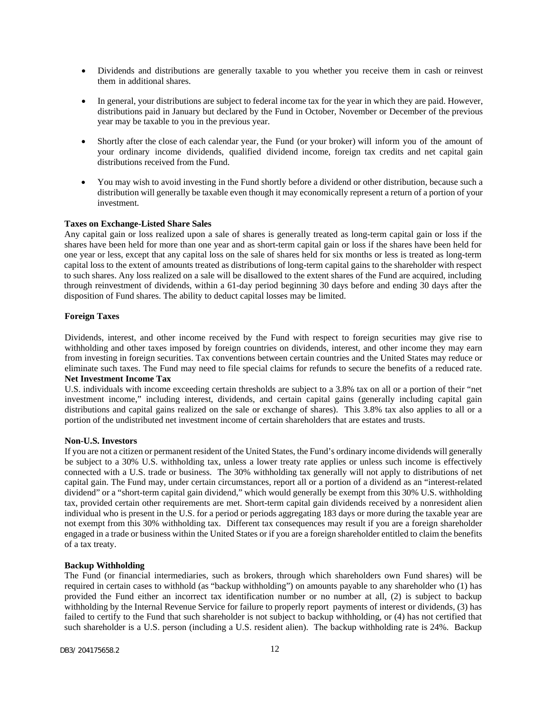- Dividends and distributions are generally taxable to you whether you receive them in cash or reinvest them in additional shares.
- In general, your distributions are subject to federal income tax for the year in which they are paid. However, distributions paid in January but declared by the Fund in October, November or December of the previous year may be taxable to you in the previous year.
- Shortly after the close of each calendar year, the Fund (or your broker) will inform you of the amount of your ordinary income dividends, qualified dividend income, foreign tax credits and net capital gain distributions received from the Fund.
- You may wish to avoid investing in the Fund shortly before a dividend or other distribution, because such a distribution will generally be taxable even though it may economically represent a return of a portion of your investment.

### **Taxes on Exchange-Listed Share Sales**

Any capital gain or loss realized upon a sale of shares is generally treated as long-term capital gain or loss if the shares have been held for more than one year and as short-term capital gain or loss if the shares have been held for one year or less, except that any capital loss on the sale of shares held for six months or less is treated as long-term capital loss to the extent of amounts treated as distributions of long-term capital gains to the shareholder with respect to such shares. Any loss realized on a sale will be disallowed to the extent shares of the Fund are acquired, including through reinvestment of dividends, within a 61-day period beginning 30 days before and ending 30 days after the disposition of Fund shares. The ability to deduct capital losses may be limited.

## **Foreign Taxes**

Dividends, interest, and other income received by the Fund with respect to foreign securities may give rise to withholding and other taxes imposed by foreign countries on dividends, interest, and other income they may earn from investing in foreign securities. Tax conventions between certain countries and the United States may reduce or eliminate such taxes. The Fund may need to file special claims for refunds to secure the benefits of a reduced rate. **Net Investment Income Tax**

U.S. individuals with income exceeding certain thresholds are subject to a 3.8% tax on all or a portion of their "net investment income," including interest, dividends, and certain capital gains (generally including capital gain distributions and capital gains realized on the sale or exchange of shares). This 3.8% tax also applies to all or a portion of the undistributed net investment income of certain shareholders that are estates and trusts.

#### **Non-U.S. Investors**

If you are not a citizen or permanent resident of the United States, the Fund's ordinary income dividends will generally be subject to a 30% U.S. withholding tax, unless a lower treaty rate applies or unless such income is effectively connected with a U.S. trade or business. The 30% withholding tax generally will not apply to distributions of net capital gain. The Fund may, under certain circumstances, report all or a portion of a dividend as an "interest-related dividend" or a "short-term capital gain dividend," which would generally be exempt from this 30% U.S. withholding tax, provided certain other requirements are met. Short-term capital gain dividends received by a nonresident alien individual who is present in the U.S. for a period or periods aggregating 183 days or more during the taxable year are not exempt from this 30% withholding tax. Different tax consequences may result if you are a foreign shareholder engaged in a trade or business within the United States or if you are a foreign shareholder entitled to claim the benefits of a tax treaty.

#### **Backup Withholding**

The Fund (or financial intermediaries, such as brokers, through which shareholders own Fund shares) will be required in certain cases to withhold (as "backup withholding") on amounts payable to any shareholder who (1) has provided the Fund either an incorrect tax identification number or no number at all, (2) is subject to backup withholding by the Internal Revenue Service for failure to properly report payments of interest or dividends, (3) has failed to certify to the Fund that such shareholder is not subject to backup withholding, or (4) has not certified that such shareholder is a U.S. person (including a U.S. resident alien). The backup withholding rate is 24%. Backup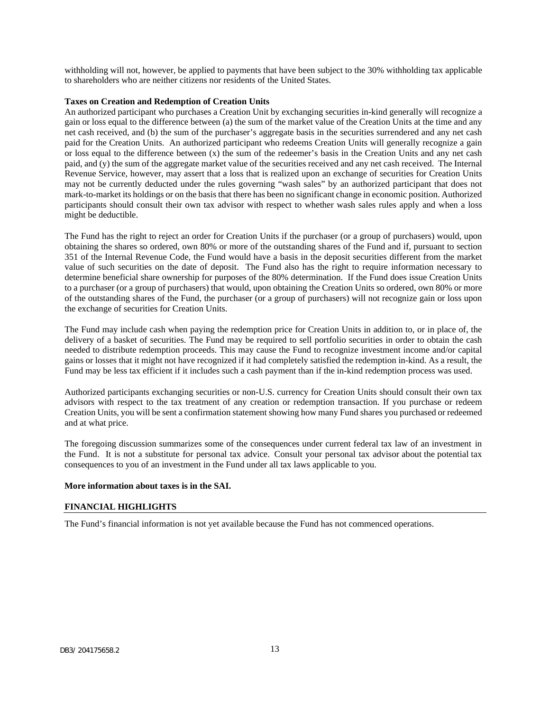withholding will not, however, be applied to payments that have been subject to the 30% withholding tax applicable to shareholders who are neither citizens nor residents of the United States.

#### **Taxes on Creation and Redemption of Creation Units**

An authorized participant who purchases a Creation Unit by exchanging securities in-kind generally will recognize a gain or loss equal to the difference between (a) the sum of the market value of the Creation Units at the time and any net cash received, and (b) the sum of the purchaser's aggregate basis in the securities surrendered and any net cash paid for the Creation Units. An authorized participant who redeems Creation Units will generally recognize a gain or loss equal to the difference between (x) the sum of the redeemer's basis in the Creation Units and any net cash paid, and (y) the sum of the aggregate market value of the securities received and any net cash received. The Internal Revenue Service, however, may assert that a loss that is realized upon an exchange of securities for Creation Units may not be currently deducted under the rules governing "wash sales" by an authorized participant that does not mark-to-market its holdings or on the basis that there has been no significant change in economic position. Authorized participants should consult their own tax advisor with respect to whether wash sales rules apply and when a loss might be deductible.

The Fund has the right to reject an order for Creation Units if the purchaser (or a group of purchasers) would, upon obtaining the shares so ordered, own 80% or more of the outstanding shares of the Fund and if, pursuant to section 351 of the Internal Revenue Code, the Fund would have a basis in the deposit securities different from the market value of such securities on the date of deposit. The Fund also has the right to require information necessary to determine beneficial share ownership for purposes of the 80% determination. If the Fund does issue Creation Units to a purchaser (or a group of purchasers) that would, upon obtaining the Creation Units so ordered, own 80% or more of the outstanding shares of the Fund, the purchaser (or a group of purchasers) will not recognize gain or loss upon the exchange of securities for Creation Units.

The Fund may include cash when paying the redemption price for Creation Units in addition to, or in place of, the delivery of a basket of securities. The Fund may be required to sell portfolio securities in order to obtain the cash needed to distribute redemption proceeds. This may cause the Fund to recognize investment income and/or capital gains or losses that it might not have recognized if it had completely satisfied the redemption in-kind. As a result, the Fund may be less tax efficient if it includes such a cash payment than if the in-kind redemption process was used.

Authorized participants exchanging securities or non-U.S. currency for Creation Units should consult their own tax advisors with respect to the tax treatment of any creation or redemption transaction. If you purchase or redeem Creation Units, you will be sent a confirmation statement showing how many Fund shares you purchased or redeemed and at what price.

The foregoing discussion summarizes some of the consequences under current federal tax law of an investment in the Fund. It is not a substitute for personal tax advice. Consult your personal tax advisor about the potential tax consequences to you of an investment in the Fund under all tax laws applicable to you.

#### **More information about taxes is in the SAI.**

## <span id="page-14-0"></span>**FINANCIAL HIGHLIGHTS**

The Fund's financial information is not yet available because the Fund has not commenced operations.